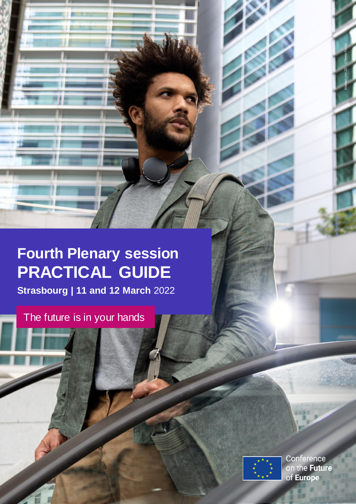# **Fourth Plenary session PRACTICAL GUIDE**

**Strasbourg | 11 and 12 March** 2022

The future is in your hands



Conference<br>on the **Future** of Europe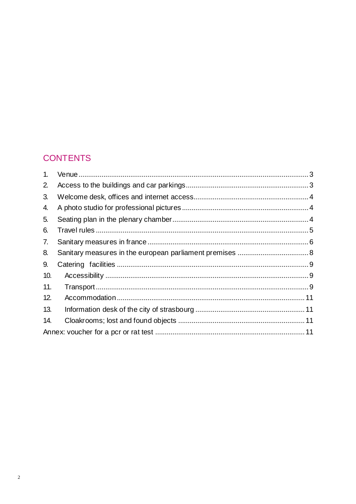# **CONTENTS**

| 1.  |  |
|-----|--|
| 2.  |  |
| 3.  |  |
| 4.  |  |
| 5.  |  |
| 6.  |  |
| 7.  |  |
| 8.  |  |
| 9.  |  |
| 10. |  |
| 11. |  |
| 12. |  |
| 13. |  |
| 14. |  |
|     |  |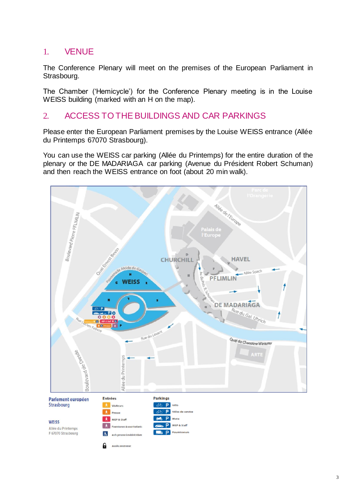## <span id="page-2-0"></span>1. VENUE

The Conference Plenary will meet on the premises of the European Parliament in Strasbourg.

The Chamber ('Hemicycle') for the Conference Plenary meeting is in the Louise WEISS building (marked with an H on the map).

## <span id="page-2-1"></span>2. ACCESS TO THE BUILDINGS AND CAR PARKINGS

Please enter the European Parliament premises by the Louise WEISS entrance (Allée du Printemps 67070 Strasbourg).

You can use the WEISS car parking (Allée du Printemps) for the entire duration of the plenary or the DE MADARIAGA car parking (Avenue du Président Robert Schuman) and then reach the WEISS entrance on foot (about 20 min walk).

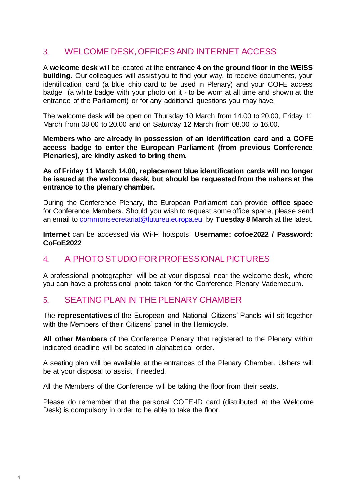## <span id="page-3-0"></span>3. WELCOME DESK, OFFICES AND INTERNET ACCESS

A **welcome desk** will be located at the **entrance 4 on the ground floor in the WEISS building**. Our colleagues will assist you to find your way, to receive documents, your identification card (a blue chip card to be used in Plenary) and your COFE access badge (a white badge with your photo on it - to be worn at all time and shown at the entrance of the Parliament) or for any additional questions you may have.

The welcome desk will be open on Thursday 10 March from 14.00 to 20.00, Friday 11 March from 08.00 to 20.00 and on Saturday 12 March from 08.00 to 16.00.

**Members who are already in possession of an identification card and a COFE access badge to enter the European Parliament (from previous Conference Plenaries), are kindly asked to bring them.**

**As of Friday 11 March 14.00, replacement blue identification cards will no longer be issued at the welcome desk, but should be requested from the ushers at the entrance to the plenary chamber.**

During the Conference Plenary, the European Parliament can provide **office space**  for Conference Members. Should you wish to request some office space, please send an email to commonsecreta[riat@futureu.europa.eu](mailto:commonsecretariat@futureu.europa.eu) by **Tuesday 8 March** at the latest.

**Internet** can be accessed via Wi-Fi hotspots: **Username: cofoe2022 / Password: CoFoE2022**

# <span id="page-3-1"></span>4. A PHOTO STUDIO FOR PROFESSIONAL PICTURES

A professional photographer will be at your disposal near the welcome desk, where you can have a professional photo taken for the Conference Plenary Vademecum.

## <span id="page-3-2"></span>5. SEATING PLAN IN THE PLENARY CHAMBER

The **representatives** of the European and National Citizens' Panels will sit together with the Members of their Citizens' panel in the Hemicycle.

**All other Members** of the Conference Plenary that registered to the Plenary within indicated deadline will be seated in alphabetical order.

A seating plan will be available at the entrances of the Plenary Chamber. Ushers will be at your disposal to assist, if needed.

All the Members of the Conference will be taking the floor from their seats.

Please do remember that the personal COFE-ID card (distributed at the Welcome Desk) is compulsory in order to be able to take the floor.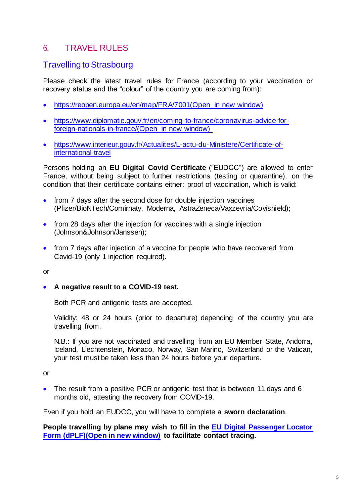# <span id="page-4-0"></span>6. TRAVEL RULES

## Travelling to Strasbourg

Please check the latest travel rules for France (according to your vaccination or recovery status and the "colour" of the country you are coming from):

- [https://reopen.europa.eu/en/map/FRA/7001\(Open in new window\)](https://reopen.europa.eu/en/map/FRA/7001)
- [https://www.diplomatie.gouv.fr/en/coming-to-france/coronavirus-advice-for](https://www.diplomatie.gouv.fr/en/coming-to-france/coronavirus-advice-for-foreign-nationals-in-france/)[foreign-nationals-in-france/\(Open in new window\)](https://www.diplomatie.gouv.fr/en/coming-to-france/coronavirus-advice-for-foreign-nationals-in-france/)
- [https://www.interieur.gouv.fr/Actualites/L-actu-du-Ministere/Certificate-of](https://www.interieur.gouv.fr/Actualites/L-actu-du-Ministere/Certificate-of-international-travel)[international-travel](https://www.interieur.gouv.fr/Actualites/L-actu-du-Ministere/Certificate-of-international-travel)

Persons holding an **EU Digital Covid Certificate** ("EUDCC") are allowed to enter France, without being subject to further restrictions (testing or quarantine), on the condition that their certificate contains either: proof of vaccination, which is valid:

- from 7 days after the second dose for double injection vaccines (Pfizer/BioNTech/Comirnaty, Moderna, AstraZeneca/Vaxzevria/Covishield);
- from 28 days after the injection for vaccines with a single injection (Johnson&Johnson/Janssen);
- from 7 days after injection of a vaccine for people who have recovered from Covid-19 (only 1 injection required).

or

**A negative result to a COVID-19 test.**

Both PCR and antigenic tests are accepted.

Validity: 48 or 24 hours (prior to departure) depending of the country you are travelling from.

N.B.: If you are not vaccinated and travelling from an EU Member State, Andorra, Iceland, Liechtenstein, Monaco, Norway, San Marino, Switzerland or the Vatican, your test must be taken less than 24 hours before your departure.

or

• The result from a positive PCR or antigenic test that is between 11 days and 6 months old, attesting the recovery from COVID-19.

Even if you hold an EUDCC, you will have to complete a **sworn declaration**.

**People travelling by plane may wish to fill in the [EU Digital Passenger Locator](https://app.euplf.eu/#/)  [Form \(dPLF\)\(Open in new window\)](https://app.euplf.eu/#/) to facilitate contact tracing.**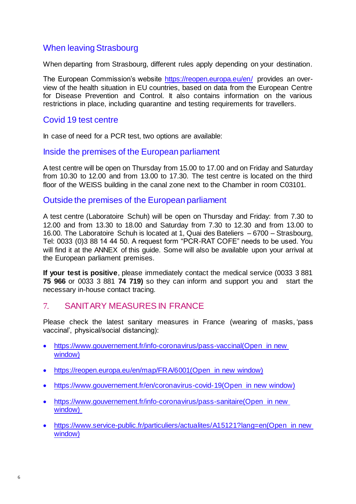## When leaving Strasbourg

When departing from Strasbourg, different rules apply depending on your destination.

The European Commission's website<https://reopen.europa.eu/en/> provides an overview of the health situation in EU countries, based on data from the European Centre for Disease Prevention and Control. It also contains information on the various restrictions in place, including quarantine and testing requirements for travellers.

#### Covid 19 test centre

In case of need for a PCR test, two options are available:

#### Inside the premises of the European parliament

A test centre will be open on Thursday from 15.00 to 17.00 and on Friday and Saturday from 10.30 to 12.00 and from 13.00 to 17.30. The test centre is located on the third floor of the WEISS building in the canal zone next to the Chamber in room C03101.

#### Outside the premises of the European parliament

A test centre (Laboratoire Schuh) will be open on Thursday and Friday: from 7.30 to 12.00 and from 13.30 to 18.00 and Saturday from 7.30 to 12.30 and from 13.00 to 16.00. The Laboratoire Schuh is located at 1, Quai des Bateliers – 6700 – Strasbourg, Tel: 0033 (0)3 88 14 44 50. A request form "PCR-RAT COFE" needs to be used. You will find it at the ANNEX of this guide. Some will also be available upon your arrival at the European parliament premises.

**If your test is positive**, please immediately contact the medical service (0033 3 881 **75 966** or 0033 3 881 **74 719)** so they can inform and support you and start the necessary in-house contact tracing.

## <span id="page-5-0"></span>7. SANITARY MEASURES IN FRANCE

Please check the latest sanitary measures in France (wearing of masks, 'pass vaccinal', physical/social distancing):

- [https://www.gouvernement.fr/info-coronavirus/pass-vaccinal\(Open in new](https://www.gouvernement.fr/info-coronavirus/pass-vaccinal)  [window\)](https://www.gouvernement.fr/info-coronavirus/pass-vaccinal)
- [https://reopen.europa.eu/en/map/FRA/6001\(Open in new window\)](https://reopen.europa.eu/en/map/FRA/6001)
- [https://www.gouvernement.fr/en/coronavirus-covid-19\(Open in new window\)](https://www.gouvernement.fr/en/coronavirus-covid-19)
- [https://www.gouvernement.fr/info-coronavirus/pass-sanitaire\(Open in new](https://www.gouvernement.fr/info-coronavirus/pass-sanitaire)  [window\)](https://www.gouvernement.fr/info-coronavirus/pass-sanitaire)
- https://www.service-public.fr/particuliers/actualites/A15121?lang=en(Open in new [window\)](https://www.service-public.fr/particuliers/actualites/A15121?lang=en)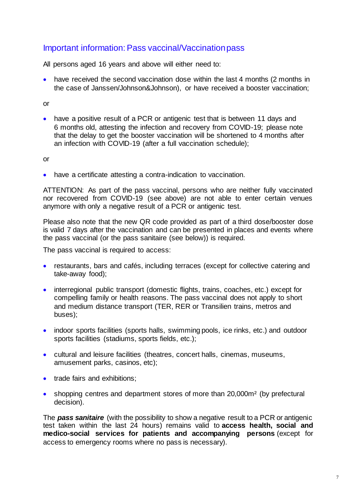## Important information: Pass vaccinal/Vaccination pass

All persons aged 16 years and above will either need to:

 have received the second vaccination dose within the last 4 months (2 months in the case of Janssen/Johnson&Johnson), or have received a booster vaccination;

or

• have a positive result of a PCR or antigenic test that is between 11 days and 6 months old, attesting the infection and recovery from COVID-19; please note that the delay to get the booster vaccination will be shortened to 4 months after an infection with COVID-19 (after a full vaccination schedule);

or

have a certificate attesting a contra-indication to vaccination.

ATTENTION: As part of the pass vaccinal, persons who are neither fully vaccinated nor recovered from COVID-19 (see above) are not able to enter certain venues anymore with only a negative result of a PCR or antigenic test.

Please also note that the new QR code provided as part of a third dose/booster dose is valid 7 days after the vaccination and can be presented in places and events where the pass vaccinal (or the pass sanitaire (see below)) is required.

The pass vaccinal is required to access:

- restaurants, bars and cafés, including terraces (except for collective catering and take-away food);
- interregional public transport (domestic flights, trains, coaches, etc.) except for compelling family or health reasons. The pass vaccinal does not apply to short and medium distance transport (TER, RER or Transilien trains, metros and buses);
- indoor sports facilities (sports halls, swimming pools, ice rinks, etc.) and outdoor sports facilities (stadiums, sports fields, etc.);
- cultural and leisure facilities (theatres, concert halls, cinemas, museums, amusement parks, casinos, etc);
- trade fairs and exhibitions:
- shopping centres and department stores of more than 20,000m<sup>2</sup> (by prefectural decision).

The *pass sanitaire* (with the possibility to show a negative result to a PCR or antigenic test taken within the last 24 hours) remains valid to **access health, social and medico-social services for patients and accompanying persons** (except for access to emergency rooms where no pass is necessary).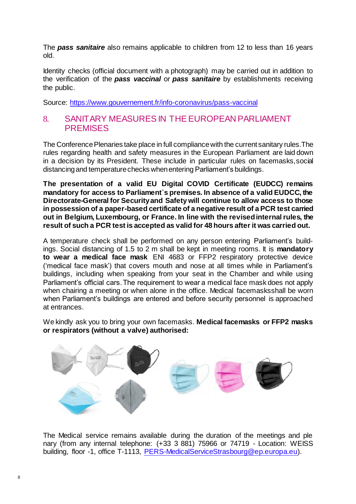The *pass sanitaire* also remains applicable to children from 12 to less than 16 years old.

Identity checks (official document with a photograph) may be carried out in addition to the verification of the *pass vaccinal* or *pass sanitaire* by establishments receiving the public.

Source: <https://www.gouvernement.fr/info-coronavirus/pass-vaccinal>

#### <span id="page-7-0"></span>8. SANITARY MEASURES IN THE EUROPEAN PARLIAMENT **PREMISES**

The Conference Plenaries take place in full compliance with the current sanitary rules. The rules regarding health and safety measures in the European Parliament are laid down in a decision by its President. These include in particular rules on facemasks,social distancing and temperature checks when entering Parliament's buildings.

**The presentation of a valid EU Digital COVID Certificate (EUDCC) remains mandatory for access to Parliament`s premises. In absence of a valid EUDCC, the Directorate-General for Security and Safety will continue to allow access to those in possession of a paper-based certificate of a negative result of a PCR test carried out in Belgium, Luxembourg, or France. In line with the revised internal rules, the result of such a PCR test is accepted as valid for 48 hours after it was carried out.**

A temperature check shall be performed on any person entering Parliament's buildings. Social distancing of 1.5 to 2 m shall be kept in meeting rooms. It is **mandatory to wear a medical face mask** ENI 4683 or FFP2 respiratory protective device ('medical face mask') that covers mouth and nose at all times while in Parliament's buildings, including when speaking from your seat in the Chamber and while using Parliament's official cars. The requirement to wear a medical face mask does not apply when chairing a meeting or when alone in the office. Medical facemasksshall be worn when Parliament's buildings are entered and before security personnel is approached at entrances.

We kindly ask you to bring your own facemasks. **Medical facemasks or FFP2 masks or respirators (without a valve) authorised:**



The Medical service remains available during the duration of the meetings and ple nary (from any internal telephone: (+33 3 881) 75966 or 74719 - Location: WEISS building, floor -1, office T-1113, [PERS-MedicalServiceStrasbourg@ep.europa.eu\).](mailto:PERS-MedicalServiceStrasbourg@ep.europa.eu)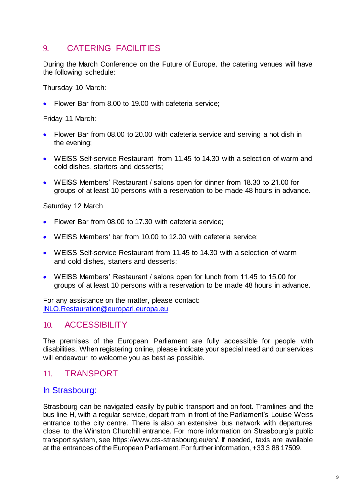# <span id="page-8-0"></span>9 CATERING FACILITIES

During the March Conference on the Future of Europe, the catering venues will have the following schedule:

Thursday 10 March:

• Flower Bar from 8.00 to 19.00 with cafeteria service:

Friday 11 March:

- Flower Bar from 08.00 to 20.00 with cafeteria service and serving a hot dish in the evening;
- WEISS Self-service Restaurant from 11.45 to 14.30 with a selection of warm and cold dishes, starters and desserts;
- WEISS Members' Restaurant / salons open for dinner from 18.30 to 21.00 for groups of at least 10 persons with a reservation to be made 48 hours in advance.

Saturday 12 March

- Flower Bar from 08.00 to 17.30 with cafeteria service;
- WEISS Members' bar from 10.00 to 12.00 with cafeteria service;
- WEISS Self-service Restaurant from 11.45 to 14.30 with a selection of warm and cold dishes, starters and desserts;
- WEISS Members' Restaurant / salons open for lunch from 11.45 to 15.00 for groups of at least 10 persons with a reservation to be made 48 hours in advance.

For any assistance on the matter, please contact: [INLO.Restauration@europarl.europa.eu](mailto:INLO.Restauration@europarl.europa.eu)

#### <span id="page-8-1"></span>10. ACCESSIBILITY

The premises of the European Parliament are fully accessible for people with disabilities. When registering online, please indicate your special need and our services will endeavour to welcome you as best as possible.

## <span id="page-8-2"></span>11. TRANSPORT

#### In Strasbourg:

Strasbourg can be navigated easily by public transport and on foot. Tramlines and the bus line H, with a regular service, depart from in front of the Parliament's Louise Weiss entrance tothe city centre. There is also an extensive bus network with departures close to the Winston Churchill entrance. For more information on Strasbourg's public transport system, see https:[//www.cts-strasbourg.eu/en/.](http://www.cts-strasbourg.eu/en/) If needed, taxis are available at the entrances of the European Parliament.For further information, +33 3 88 17509.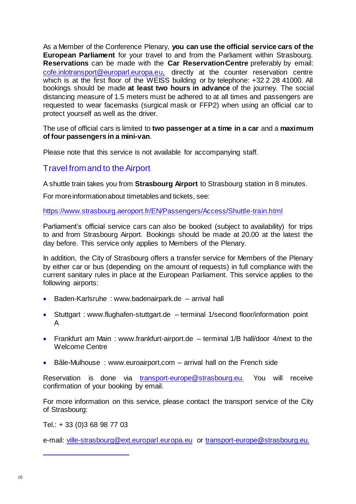As a Member of the Conference Plenary, **you can use the official service cars of the European Parliament** for your travel to and from the Parliament within Strasbourg. **Reservations** can be made with the **Car ReservationCentre** preferably by email: [cofe.inlotransport@europarl.europa.eu,](mailto:cofe.inlotransport@europarl.europa.eu) directly at the counter reservation centre which is at the first floor of the WEISS building or by telephone: +32 2 28 41000. All bookings should be made **at least two hours in advance** of the journey. The social distancing measure of 1.5 meters must be adhered to at all times and passengers are requested to wear facemasks (surgical mask or FFP2) when using an official car to protect yourself as well as the driver.

The use of official cars is limited to **two passenger at a time in a car** and a **maximum of four passengers in a mini-van**.

Please note that this service is not available for accompanying staff.

#### Travel from and to the Airport

A shuttle train takes you from **Strasbourg Airport** to Strasbourg station in 8 minutes.

For more information about timetables and tickets, see:

<https://www.strasbourg.aeroport.fr/EN/Passengers/Access/Shuttle-train.html>

Parliament's official service cars can also be booked (subject to availability) for trips to and from Strasbourg Airport. Bookings should be made at 20.00 at the latest the day before. This service only applies to Members of the Plenary.

In addition, the City of Strasbourg offers a transfer service for Members of the Plenary by either car or bus (depending on the amount of requests) in full compliance with the current sanitary rules in place at the European Parliament. This service applies to the following airports:

- Baden-Karlsruhe : [www.badenairpark.de –](http://www.badenairpark.de/) arrival hall
- Stuttgart : [www.flughafen-stuttgart.de –](http://www.flughafen-stuttgart.de/) terminal 1/second floor/information point A
- Frankfurt am Main: [www.frankfurt-airport.de –](http://www.frankfurt-airport.de/) terminal 1/B hall/door 4/next to the Welcome Centre
- Bâle-Mulhouse : [www.euroairport.com –](http://www.euroairport.com/) arrival hall on the French side

Reservation is done via [transport-europe@strasbourg.eu.](mailto:%20transport-europe@strasbourg.eu) You will receive confirmation of your booking by email.

For more information on this service, please contact the transport service of the City of Strasbourg:

Tel.: + 33 (0)3 68 98 77 03

e-mail: [ville-strasbourg@ext.europarl.europa.eu](mailto:ville-strasbourg@ext.europarl.europa.eu) or [transport-europe@strasbourg.eu.](mailto:transport-europe@strasbourg.eu.)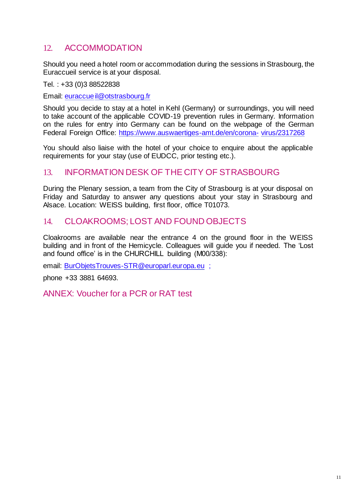# <span id="page-10-0"></span>12. ACCOMMODATION

Should you need a hotel room or accommodation during the sessions in Strasbourg, the Euraccueil service is at your disposal.

Tel. : +33 (0)3 88522838

Email: [euraccueil@otstrasbourg.fr](mailto:euraccueil@otstrasbourg.fr)

Should you decide to stay at a hotel in Kehl (Germany) or surroundings, you will need to take account of the applicable COVID-19 prevention rules in Germany. Information on the rules for entry into Germany can be found on the webpage of the German Federal Foreign Office: [https://www.auswaertiges-amt.de/en/corona-](https://www.auswaertiges-amt.de/en/coronavirus/2317268) [virus/2317268](https://www.auswaertiges-amt.de/en/coronavirus/2317268)

You should also liaise with the hotel of your choice to enquire about the applicable requirements for your stay (use of EUDCC, prior testing etc.).

#### <span id="page-10-1"></span>13. INFORMATION DESK OF THE CITY OF STRASBOURG

During the Plenary session, a team from the City of Strasbourg is at your disposal on Friday and Saturday to answer any questions about your stay in Strasbourg and Alsace. Location: WEISS building, first floor, office T01073.

#### <span id="page-10-2"></span>14. CLOAKROOMS; LOST AND FOUND OBJECTS

Cloakrooms are available near the entrance 4 on the ground floor in the WEISS building and in front of the Hemicycle. Colleagues will guide you if needed. The 'Lost and found office' is in the CHURCHILL building (M00/338):

email: [BurObjetsTrouves-STR@europarl.europa.eu](mailto:BurObjetsTrouves-STR@europarl.europa.eu) ;

phone +33 3881 64693.

<span id="page-10-3"></span>ANNEX: Voucher for a PCR or RAT test